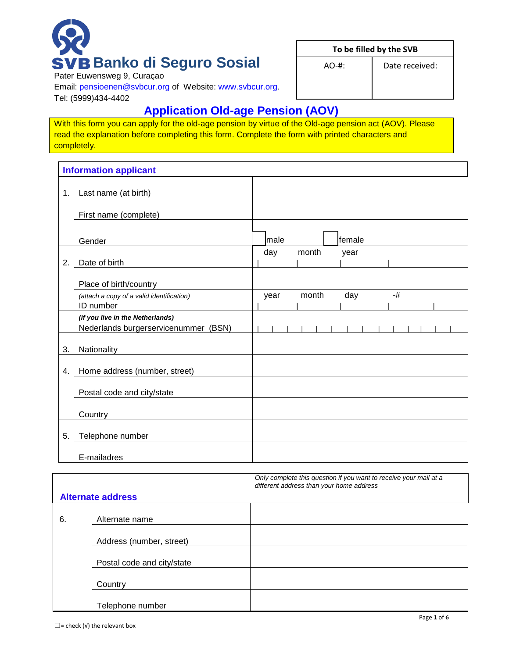# **Banko di Seguro Sosial**

**To be filled by the SVB**

AO-#: Date received:

Pater Euwensweg 9, Curaçao

Email: [pensioenen@svbcur.org](mailto:pensioenen@svbcur.org) of Website: [www.svbcur.org.](http://www.svbcur.org/) Tel: (5999)434-4402

## **Application Old-age Pension (AOV)**

With this form you can apply for the old-age pension by virtue of the Old-age pension act (AOV). Please read the explanation before completing this form. Complete the form with printed characters and completely.

|    | <b>Information applicant</b>                                             |      |       |        |  |      |  |  |
|----|--------------------------------------------------------------------------|------|-------|--------|--|------|--|--|
|    | 1. Last name (at birth)                                                  |      |       |        |  |      |  |  |
|    | First name (complete)                                                    |      |       |        |  |      |  |  |
|    | Gender                                                                   | male |       | female |  |      |  |  |
| 2. | Date of birth                                                            | day  | month | year   |  |      |  |  |
|    | Place of birth/country                                                   |      |       |        |  |      |  |  |
|    | (attach a copy of a valid identification)<br>ID number                   | year | month | day    |  | $-#$ |  |  |
|    | (if you live in the Netherlands)<br>Nederlands burgerservicenummer (BSN) |      |       |        |  |      |  |  |
| 3. | Nationality                                                              |      |       |        |  |      |  |  |
| 4. | Home address (number, street)                                            |      |       |        |  |      |  |  |
|    | Postal code and city/state                                               |      |       |        |  |      |  |  |
|    | Country                                                                  |      |       |        |  |      |  |  |
| 5. | Telephone number                                                         |      |       |        |  |      |  |  |
|    | E-mailadres                                                              |      |       |        |  |      |  |  |

|    |                            | Only complete this question if you want to receive your mail at a<br>different address than your home address |
|----|----------------------------|---------------------------------------------------------------------------------------------------------------|
|    | <b>Alternate address</b>   |                                                                                                               |
| 6. | Alternate name             |                                                                                                               |
|    | Address (number, street)   |                                                                                                               |
|    | Postal code and city/state |                                                                                                               |
|    | Country                    |                                                                                                               |
|    | Telephone number           |                                                                                                               |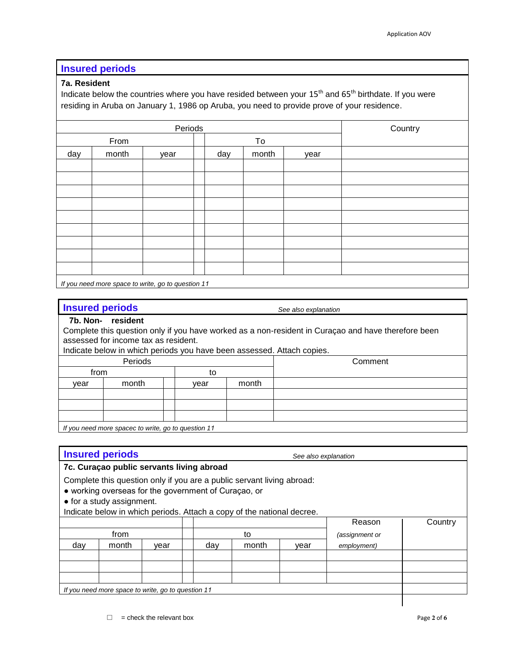#### **Insured periods**

#### **7a. Resident**

Indicate below the countries where you have resided between your 15<sup>th</sup> and 65<sup>th</sup> birthdate. If you were residing in Aruba on January 1, 1986 op Aruba, you need to provide prove of your residence.

| Periods |                                                    |      | Country |     |       |      |  |
|---------|----------------------------------------------------|------|---------|-----|-------|------|--|
|         | From                                               |      |         |     | To    |      |  |
| day     | month                                              | year |         | day | month | year |  |
|         |                                                    |      |         |     |       |      |  |
|         |                                                    |      |         |     |       |      |  |
|         |                                                    |      |         |     |       |      |  |
|         |                                                    |      |         |     |       |      |  |
|         |                                                    |      |         |     |       |      |  |
|         |                                                    |      |         |     |       |      |  |
|         |                                                    |      |         |     |       |      |  |
|         |                                                    |      |         |     |       |      |  |
|         |                                                    |      |         |     |       |      |  |
|         | If you need more space to write, go to question 11 |      |         |     |       |      |  |

**Insured periods** *See also explanation*

#### **7b. Non- resident**

Complete this question only if you have worked as a non-resident in Curaçao and have therefore been assessed for income tax as resident.

Indicate below in which periods you have been assessed. Attach copies.

|      | Periods                                            |      |       |  | Comment |
|------|----------------------------------------------------|------|-------|--|---------|
|      | from                                               |      | to    |  |         |
| vear | month                                              | vear | month |  |         |
|      |                                                    |      |       |  |         |
|      |                                                    |      |       |  |         |
|      |                                                    |      |       |  |         |
|      | If you need more spaces to write an to question 11 |      |       |  |         |

*If you need more spacec to write, go to question 11*

## **Insured periods** *See also explanation* **7c. Curaçao public servants living abroad** Complete this question only if you are a public servant living abroad: ● working overseas for the government of Curaçao, or ● for a study assignment. Indicate below in which periods. Attach a copy of the national decree. Reason | Country from  $\begin{array}{|c|c|c|c|c|} \hline \end{array}$  to  $\begin{array}{|c|c|c|c|c|c|c|c|} \hline \end{array}$  (assignment or day month year day month year *employment*) *If you need more space to write, go to question 11*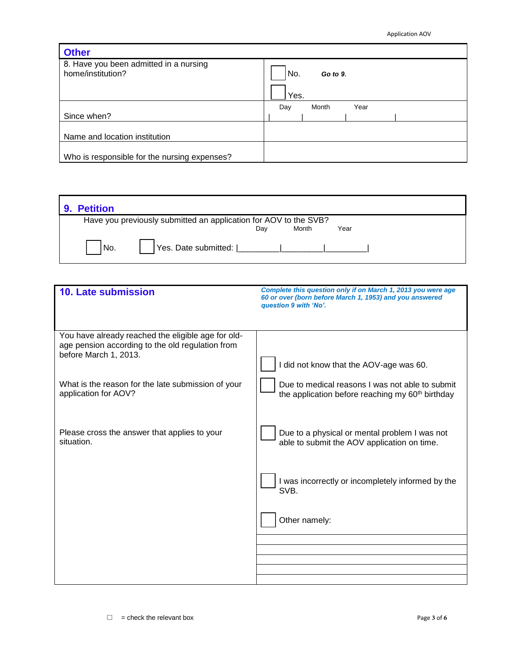| <b>Other</b>                                                |                      |
|-------------------------------------------------------------|----------------------|
| 8. Have you been admitted in a nursing<br>home/institution? | No.<br>Go to 9.      |
|                                                             | Yes.                 |
|                                                             | Month<br>Year<br>Day |
| Since when?                                                 |                      |
|                                                             |                      |
| Name and location institution                               |                      |
|                                                             |                      |
| Who is responsible for the nursing expenses?                |                      |

| <b>Petition</b> |                                                                  |     |       |      |  |
|-----------------|------------------------------------------------------------------|-----|-------|------|--|
|                 | Have you previously submitted an application for AOV to the SVB? |     |       |      |  |
|                 |                                                                  | Dav | Month | Year |  |
| 'No.            | Yes. Date submitted:   _________                                 |     |       |      |  |

| 10. Late submission                                                                                                             | Complete this question only if on March 1, 2013 you were age<br>60 or over (born before March 1, 1953) and you answered<br>question 9 with 'No'. |
|---------------------------------------------------------------------------------------------------------------------------------|--------------------------------------------------------------------------------------------------------------------------------------------------|
| You have already reached the eligible age for old-<br>age pension according to the old regulation from<br>before March 1, 2013. | I did not know that the AOV-age was 60.                                                                                                          |
| What is the reason for the late submission of your<br>application for AOV?                                                      | Due to medical reasons I was not able to submit<br>the application before reaching my 60 <sup>th</sup> birthday                                  |
| Please cross the answer that applies to your<br>situation.                                                                      | Due to a physical or mental problem I was not<br>able to submit the AOV application on time.                                                     |
|                                                                                                                                 | I was incorrectly or incompletely informed by the<br>SVB.                                                                                        |
|                                                                                                                                 | Other namely:                                                                                                                                    |
|                                                                                                                                 |                                                                                                                                                  |
|                                                                                                                                 |                                                                                                                                                  |
|                                                                                                                                 |                                                                                                                                                  |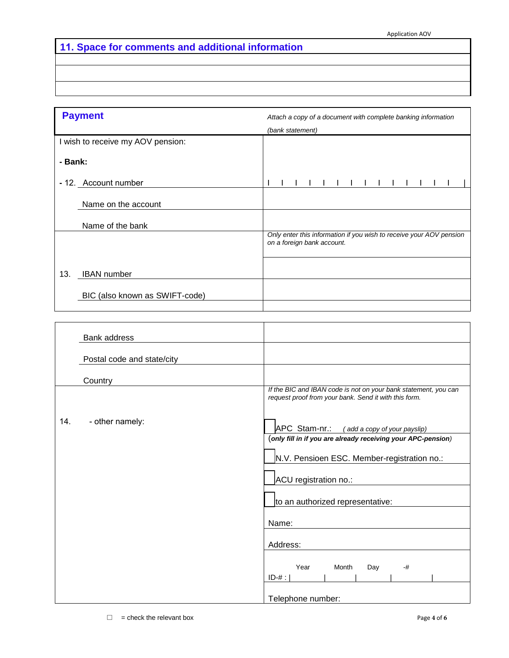## **11. Space for comments and additional information**

|         | <b>Payment</b>                    | Attach a copy of a document with complete banking information                                     |  |  |  |  |  |  |
|---------|-----------------------------------|---------------------------------------------------------------------------------------------------|--|--|--|--|--|--|
|         |                                   | (bank statement)                                                                                  |  |  |  |  |  |  |
|         | I wish to receive my AOV pension: |                                                                                                   |  |  |  |  |  |  |
| - Bank: |                                   |                                                                                                   |  |  |  |  |  |  |
|         | - 12. Account number              |                                                                                                   |  |  |  |  |  |  |
|         | Name on the account               |                                                                                                   |  |  |  |  |  |  |
|         | Name of the bank                  |                                                                                                   |  |  |  |  |  |  |
|         |                                   | Only enter this information if you wish to receive your AOV pension<br>on a foreign bank account. |  |  |  |  |  |  |
| 13.     | <b>IBAN</b> number                |                                                                                                   |  |  |  |  |  |  |
|         | BIC (also known as SWIFT-code)    |                                                                                                   |  |  |  |  |  |  |
|         |                                   |                                                                                                   |  |  |  |  |  |  |

 $\overline{a}$ 

|     | Bank address               |                                                                                                                          |
|-----|----------------------------|--------------------------------------------------------------------------------------------------------------------------|
|     | Postal code and state/city |                                                                                                                          |
|     | Country                    |                                                                                                                          |
|     |                            | If the BIC and IBAN code is not on your bank statement, you can<br>request proof from your bank. Send it with this form. |
| 14. | - other namely:            | APC Stam-nr.:<br>(add a copy of your payslip)                                                                            |
|     |                            | (only fill in if you are already receiving your APC-pension)                                                             |
|     |                            | N.V. Pensioen ESC. Member-registration no.:                                                                              |
|     |                            | ACU registration no.:                                                                                                    |
|     |                            | to an authorized representative:                                                                                         |
|     |                            | Name:                                                                                                                    |
|     |                            | Address:                                                                                                                 |
|     |                            | Year<br>Month<br>Day<br>$-#$<br>$ID-#$ :                                                                                 |
|     |                            | Telephone number:                                                                                                        |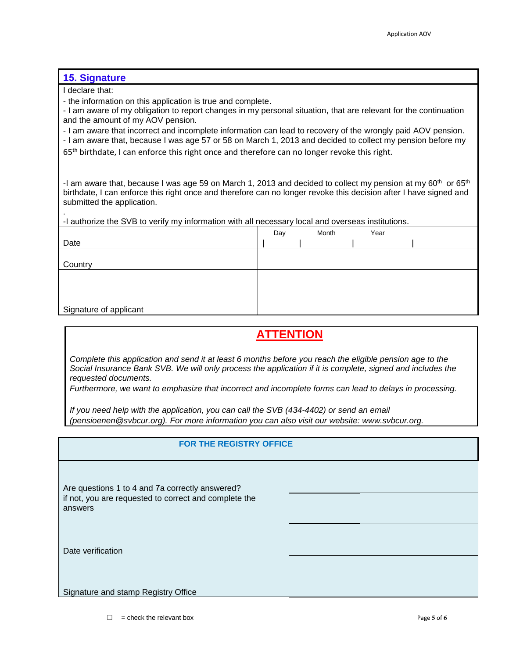#### **15. Signature**

I declare that:

.

- the information on this application is true and complete.

- I am aware of my obligation to report changes in my personal situation, that are relevant for the continuation and the amount of my AOV pension.

- I am aware that incorrect and incomplete information can lead to recovery of the wrongly paid AOV pension.

- I am aware that, because I was age 57 or 58 on March 1, 2013 and decided to collect my pension before my

65<sup>th</sup> birthdate, I can enforce this right once and therefore can no longer revoke this right.

-I am aware that, because I was age 59 on March 1, 2013 and decided to collect my pension at my 60<sup>th</sup> or 65<sup>th</sup> birthdate, I can enforce this right once and therefore can no longer revoke this decision after I have signed and submitted the application.

-I authorize the SVB to verify my information with all necessary local and overseas institutions.

|                        | Day | Month | Year |  |
|------------------------|-----|-------|------|--|
| Date                   |     |       |      |  |
|                        |     |       |      |  |
| Country                |     |       |      |  |
|                        |     |       |      |  |
|                        |     |       |      |  |
|                        |     |       |      |  |
| Signature of applicant |     |       |      |  |

### **ATTENTION**

*Complete this application and send it at least 6 months before you reach the eligible pension age to the Social Insurance Bank SVB. We will only process the application if it is complete, signed and includes the requested documents.* 

*Furthermore, we want to emphasize that incorrect and incomplete forms can lead to delays in processing.*

*If you need help with the application, you can call the SVB (434-4402) or send an email (pensioenen@svbcur.org). For more information you can also visit our website: www.svbcur.org.*

| FOR THE REGISTRY OFFICE                                          |  |
|------------------------------------------------------------------|--|
| Are questions 1 to 4 and 7a correctly answered?                  |  |
| if not, you are requested to correct and complete the<br>answers |  |
| Date verification                                                |  |
| Signature and stamp Registry Office                              |  |